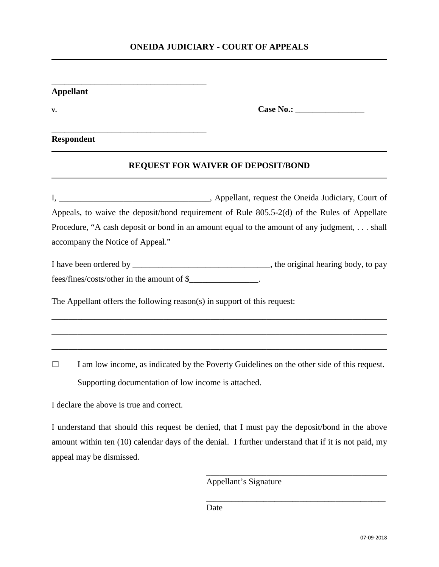## **ONEIDA JUDICIARY - COURT OF APPEALS**

| <b>Appellant</b> |                                                                          |                                                                                             |  |
|------------------|--------------------------------------------------------------------------|---------------------------------------------------------------------------------------------|--|
| v.               |                                                                          |                                                                                             |  |
|                  | <b>Respondent</b>                                                        |                                                                                             |  |
|                  |                                                                          | <b>REQUEST FOR WAIVER OF DEPOSIT/BOND</b>                                                   |  |
|                  |                                                                          |                                                                                             |  |
|                  |                                                                          | Appeals, to waive the deposit/bond requirement of Rule 805.5-2(d) of the Rules of Appellate |  |
|                  |                                                                          | Procedure, "A cash deposit or bond in an amount equal to the amount of any judgment, shall  |  |
|                  | accompany the Notice of Appeal."                                         |                                                                                             |  |
|                  |                                                                          |                                                                                             |  |
|                  | fees/fines/costs/other in the amount of \$                               |                                                                                             |  |
|                  | The Appellant offers the following reason(s) in support of this request: |                                                                                             |  |
|                  |                                                                          |                                                                                             |  |
| $\Box$           |                                                                          | I am low income, as indicated by the Poverty Guidelines on the other side of this request.  |  |
|                  | Supporting documentation of low income is attached.                      |                                                                                             |  |
|                  | I declare the above is true and correct.                                 |                                                                                             |  |

I understand that should this request be denied, that I must pay the deposit/bond in the above amount within ten (10) calendar days of the denial. I further understand that if it is not paid, my appeal may be dismissed.

Appellant's Signature

 $\overline{\phantom{a}}$  ,  $\overline{\phantom{a}}$  ,  $\overline{\phantom{a}}$  ,  $\overline{\phantom{a}}$  ,  $\overline{\phantom{a}}$  ,  $\overline{\phantom{a}}$  ,  $\overline{\phantom{a}}$  ,  $\overline{\phantom{a}}$  ,  $\overline{\phantom{a}}$  ,  $\overline{\phantom{a}}$  ,  $\overline{\phantom{a}}$  ,  $\overline{\phantom{a}}$  ,  $\overline{\phantom{a}}$  ,  $\overline{\phantom{a}}$  ,  $\overline{\phantom{a}}$  ,  $\overline{\phantom{a}}$ 

\_\_\_\_\_\_\_\_\_\_\_\_\_\_\_\_\_\_\_\_\_\_\_\_\_\_\_\_\_\_\_\_\_\_\_\_\_\_\_\_\_\_\_\_\_\_\_\_\_\_

Date